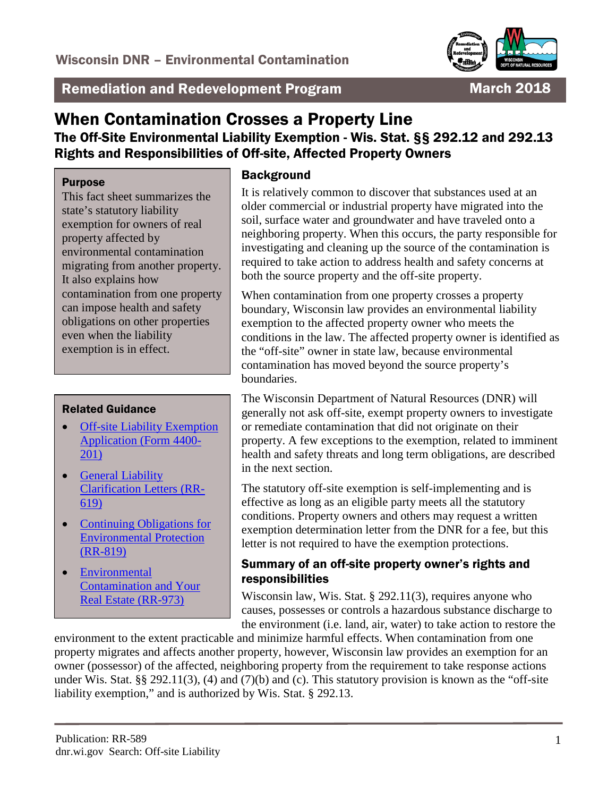

Remediation and Redevelopment Program March 2018

# When Contamination Crosses a Property Line The Off-Site Environmental Liability Exemption - Wis. Stat. §§ 292.12 and 292.13 Rights and Responsibilities of Off-site, Affected Property Owners

#### Purpose

This fact sheet summarizes the state's statutory liability exemption for owners of real property affected by environmental contamination migrating from another property. It also explains how contamination from one property can impose health and safety obligations on other properties even when the liability exemption is in effect.

#### Related Guidance

- Off-site Liability Exemption [Application \(Form 4400-](http://dnr.wi.gov/files/PDF/forms/4400/4400-201.pdf) [201\)](http://dnr.wi.gov/files/PDF/forms/4400/4400-201.pdf)
- General Liability [Clarification Letters \(RR-](http://dnr.wi.gov/files/PDF/pubs/rr/RR619.pdf)[619\)](http://dnr.wi.gov/files/PDF/pubs/rr/RR619.pdf)
- Continuing Obligations for [Environmental Protection](http://dnr.wi.gov/files/PDF/pubs/rr/RR819.pdf)  [\(RR-819\)](http://dnr.wi.gov/files/PDF/pubs/rr/RR819.pdf)
- [Environmental](http://dnr.wi.gov/files/PDF/pubs/rr/RR973.pdf)  [Contamination and Your](http://dnr.wi.gov/files/PDF/pubs/rr/RR973.pdf)  [Real Estate \(RR-973\)](http://dnr.wi.gov/files/PDF/pubs/rr/RR973.pdf)

### **Background**

It is relatively common to discover that substances used at an older commercial or industrial property have migrated into the soil, surface water and groundwater and have traveled onto a neighboring property. When this occurs, the party responsible for investigating and cleaning up the source of the contamination is required to take action to address health and safety concerns at both the source property and the off-site property.

When contamination from one property crosses a property boundary, Wisconsin law provides an environmental liability exemption to the affected property owner who meets the conditions in the law. The affected property owner is identified as the "off-site" owner in state law, because environmental contamination has moved beyond the source property's boundaries.

The Wisconsin Department of Natural Resources (DNR) will generally not ask off-site, exempt property owners to investigate or remediate contamination that did not originate on their property. A few exceptions to the exemption, related to imminent health and safety threats and long term obligations, are described in the next section.

The statutory off-site exemption is self-implementing and is effective as long as an eligible party meets all the statutory conditions. Property owners and others may request a written exemption determination letter from the DNR for a fee, but this letter is not required to have the exemption protections.

#### Summary of an off-site property owner's rights and responsibilities

Wisconsin law, Wis. Stat. § 292.11(3), requires anyone who causes, possesses or controls a hazardous substance discharge to the environment (i.e. land, air, water) to take action to restore the

environment to the extent practicable and minimize harmful effects. When contamination from one property migrates and affects another property, however, Wisconsin law provides an exemption for an owner (possessor) of the affected, neighboring property from the requirement to take response actions under Wis. Stat. §§ 292.11(3), (4) and (7)(b) and (c). This statutory provision is known as the "off-site liability exemption," and is authorized by Wis. Stat. § 292.13.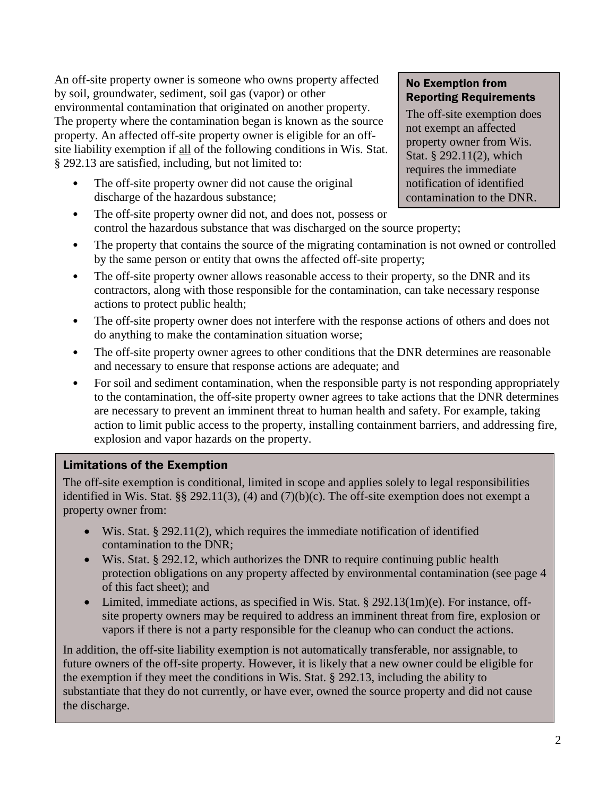An off-site property owner is someone who owns property affected by soil, groundwater, sediment, soil gas (vapor) or other environmental contamination that originated on another property. The property where the contamination began is known as the source property. An affected off-site property owner is eligible for an offsite liability exemption if all of the following conditions in Wis. Stat. § 292.13 are satisfied, including, but not limited to:

The off-site property owner did not cause the original discharge of the hazardous substance;

#### No Exemption from Reporting Requirements

The off-site exemption does not exempt an affected property owner from Wis. Stat. § 292.11(2), which requires the immediate notification of identified contamination to the DNR.

- The off-site property owner did not, and does not, possess or control the hazardous substance that was discharged on the source property;
- The property that contains the source of the migrating contamination is not owned or controlled by the same person or entity that owns the affected off-site property;
- The off-site property owner allows reasonable access to their property, so the DNR and its contractors, along with those responsible for the contamination, can take necessary response actions to protect public health;
- The off-site property owner does not interfere with the response actions of others and does not do anything to make the contamination situation worse;
- The off-site property owner agrees to other conditions that the DNR determines are reasonable and necessary to ensure that response actions are adequate; and
- For soil and sediment contamination, when the responsible party is not responding appropriately to the contamination, the off-site property owner agrees to take actions that the DNR determines are necessary to prevent an imminent threat to human health and safety. For example, taking action to limit public access to the property, installing containment barriers, and addressing fire, explosion and vapor hazards on the property.

# Limitations of the Exemption

The off-site exemption is conditional, limited in scope and applies solely to legal responsibilities identified in Wis. Stat. §§ 292.11(3), (4) and (7)(b)(c). The off-site exemption does not exempt a property owner from:

- Wis. Stat. § 292.11(2), which requires the immediate notification of identified contamination to the DNR;
- Wis. Stat. § 292.12, which authorizes the DNR to require continuing public health protection obligations on any property affected by environmental contamination (see page 4 of this fact sheet); and
- Limited, immediate actions, as specified in Wis. Stat.  $\S$  292.13(1m)(e). For instance, offsite property owners may be required to address an imminent threat from fire, explosion or vapors if there is not a party responsible for the cleanup who can conduct the actions.

In addition, the off-site liability exemption is not automatically transferable, nor assignable, to future owners of the off-site property. However, it is likely that a new owner could be eligible for the exemption if they meet the conditions in Wis. Stat. § 292.13, including the ability to substantiate that they do not currently, or have ever, owned the source property and did not cause the discharge.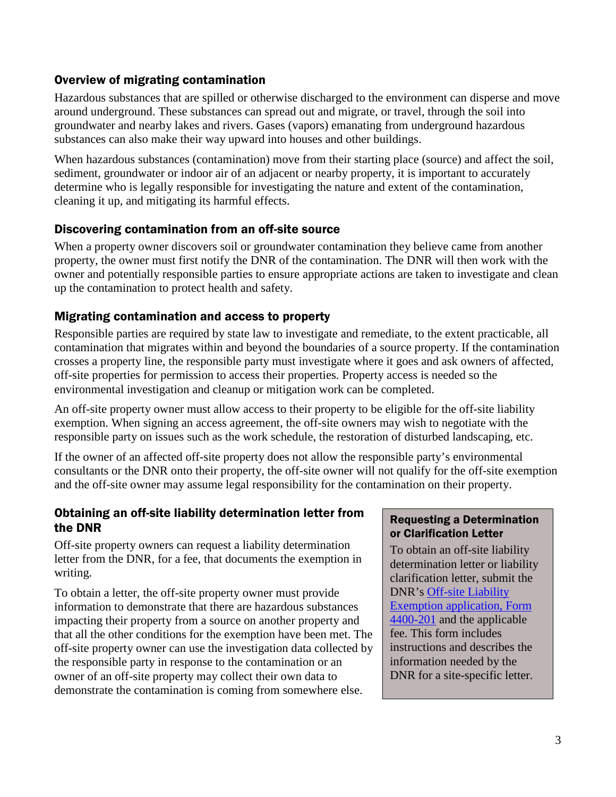### Overview of migrating contamination

Hazardous substances that are spilled or otherwise discharged to the environment can disperse and move around underground. These substances can spread out and migrate, or travel, through the soil into groundwater and nearby lakes and rivers. Gases (vapors) emanating from underground hazardous substances can also make their way upward into houses and other buildings.

When hazardous substances (contamination) move from their starting place (source) and affect the soil, sediment, groundwater or indoor air of an adjacent or nearby property, it is important to accurately determine who is legally responsible for investigating the nature and extent of the contamination, cleaning it up, and mitigating its harmful effects.

# Discovering contamination from an off-site source

When a property owner discovers soil or groundwater contamination they believe came from another property, the owner must first notify the DNR of the contamination. The DNR will then work with the owner and potentially responsible parties to ensure appropriate actions are taken to investigate and clean up the contamination to protect health and safety.

### Migrating contamination and access to property

Responsible parties are required by state law to investigate and remediate, to the extent practicable, all contamination that migrates within and beyond the boundaries of a source property. If the contamination crosses a property line, the responsible party must investigate where it goes and ask owners of affected, off-site properties for permission to access their properties. Property access is needed so the environmental investigation and cleanup or mitigation work can be completed.

An off-site property owner must allow access to their property to be eligible for the off-site liability exemption. When signing an access agreement, the off-site owners may wish to negotiate with the responsible party on issues such as the work schedule, the restoration of disturbed landscaping, etc.

If the owner of an affected off-site property does not allow the responsible party's environmental consultants or the DNR onto their property, the off-site owner will not qualify for the off-site exemption and the off-site owner may assume legal responsibility for the contamination on their property.

#### Obtaining an off-site liability determination letter from the DNR

Off-site property owners can request a liability determination letter from the DNR, for a fee, that documents the exemption in writing.

To obtain a letter, the off-site property owner must provide information to demonstrate that there are hazardous substances impacting their property from a source on another property and that all the other conditions for the exemption have been met. The off-site property owner can use the investigation data collected by the responsible party in response to the contamination or an owner of an off-site property may collect their own data to demonstrate the contamination is coming from somewhere else.

### Requesting a Determination or Clarification Letter

To obtain an off-site liability determination letter or liability clarification letter, submit the DNR's [Off-site Liability](http://dnr.wi.gov/files/PDF/forms/4400/4400-201.pdf)  [Exemption application, Form](http://dnr.wi.gov/files/PDF/forms/4400/4400-201.pdf)  [4400-201](http://dnr.wi.gov/files/PDF/forms/4400/4400-201.pdf) and the applicable fee. This form includes instructions and describes the information needed by the DNR for a site-specific letter.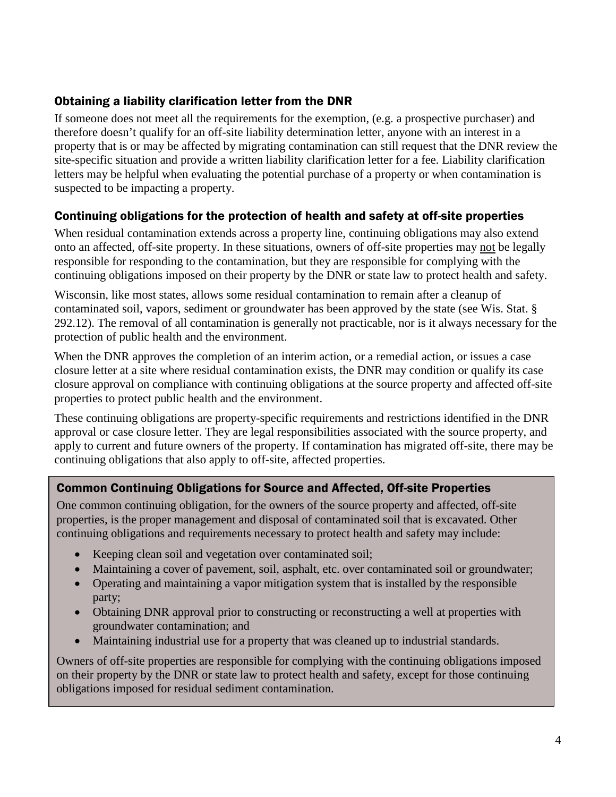# Obtaining a liability clarification letter from the DNR

If someone does not meet all the requirements for the exemption, (e.g. a prospective purchaser) and therefore doesn't qualify for an off-site liability determination letter, anyone with an interest in a property that is or may be affected by migrating contamination can still request that the DNR review the site-specific situation and provide a written liability clarification letter for a fee. Liability clarification letters may be helpful when evaluating the potential purchase of a property or when contamination is suspected to be impacting a property.

### Continuing obligations for the protection of health and safety at off-site properties

When residual contamination extends across a property line, continuing obligations may also extend onto an affected, off-site property. In these situations, owners of off-site properties may not be legally responsible for responding to the contamination, but they are responsible for complying with the continuing obligations imposed on their property by the DNR or state law to protect health and safety.

Wisconsin, like most states, allows some residual contamination to remain after a cleanup of contaminated soil, vapors, sediment or groundwater has been approved by the state (see Wis. Stat. § 292.12). The removal of all contamination is generally not practicable, nor is it always necessary for the protection of public health and the environment.

When the DNR approves the completion of an interim action, or a remedial action, or issues a case closure letter at a site where residual contamination exists, the DNR may condition or qualify its case closure approval on compliance with continuing obligations at the source property and affected off-site properties to protect public health and the environment.

These continuing obligations are property-specific requirements and restrictions identified in the DNR approval or case closure letter. They are legal responsibilities associated with the source property, and apply to current and future owners of the property. If contamination has migrated off-site, there may be continuing obligations that also apply to off-site, affected properties.

# Common Continuing Obligations for Source and Affected, Off-site Properties

One common continuing obligation, for the owners of the source property and affected, off-site properties, is the proper management and disposal of contaminated soil that is excavated. Other continuing obligations and requirements necessary to protect health and safety may include:

- Keeping clean soil and vegetation over contaminated soil;
- Maintaining a cover of pavement, soil, asphalt, etc. over contaminated soil or groundwater;
- Operating and maintaining a vapor mitigation system that is installed by the responsible party;
- Obtaining DNR approval prior to constructing or reconstructing a well at properties with groundwater contamination; and
- Maintaining industrial use for a property that was cleaned up to industrial standards.

Owners of off-site properties are responsible for complying with the continuing obligations imposed on their property by the DNR or state law to protect health and safety, except for those continuing obligations imposed for residual sediment contamination.